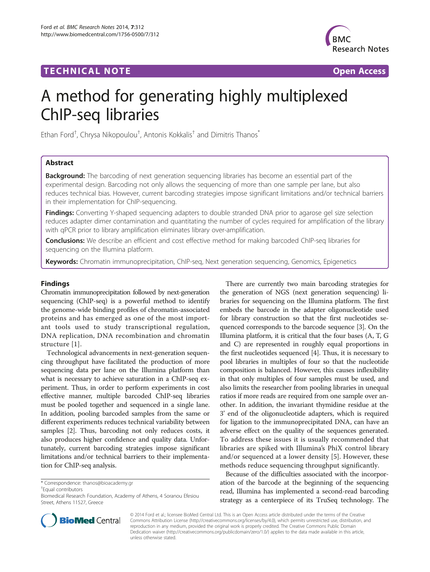## **TECHNICAL NOTE SECOND EXECUTIVE CONTRACT CONTRACT CONTRACT CONTRACT CONTRACT CONTRACT CONTRACT CONTRACT CONTRACT CONTRACT CONTRACT CONTRACT CONTRACT CONTRACT CONTRACT CONTRACT CONTRACT CONTRACT CONTRACT CONTRACT CONTRAC**



# A method for generating highly multiplexed ChIP-seq libraries

Ethan Ford<sup>†</sup>, Chrysa Nikopoulou<sup>†</sup>, Antonis Kokkalis<sup>†</sup> and Dimitris Thanos<sup>\*</sup>

## Abstract

**Background:** The barcoding of next generation sequencing libraries has become an essential part of the experimental design. Barcoding not only allows the sequencing of more than one sample per lane, but also reduces technical bias. However, current barcoding strategies impose significant limitations and/or technical barriers in their implementation for ChIP-sequencing.

Findings: Converting Y-shaped sequencing adapters to double stranded DNA prior to agarose gel size selection reduces adapter dimer contamination and quantitating the number of cycles required for amplification of the library with qPCR prior to library amplification eliminates library over-amplification.

**Conclusions:** We describe an efficient and cost effective method for making barcoded ChIP-seq libraries for sequencing on the Illumina platform.

Keywords: Chromatin immunoprecipitation, ChIP-seq, Next generation sequencing, Genomics, Epigenetics

## Findings

Chromatin immunoprecipitation followed by next-generation sequencing (ChIP-seq) is a powerful method to identify the genome-wide binding profiles of chromatin-associated proteins and has emerged as one of the most important tools used to study transcriptional regulation, DNA replication, DNA recombination and chromatin structure [\[1\]](#page-3-0).

Technological advancements in next-generation sequencing throughput have facilitated the production of more sequencing data per lane on the Illumina platform than what is necessary to achieve saturation in a ChIP-seq experiment. Thus, in order to perform experiments in cost effective manner, multiple barcoded ChIP-seq libraries must be pooled together and sequenced in a single lane. In addition, pooling barcoded samples from the same or different experiments reduces technical variability between samples [\[2](#page-3-0)]. Thus, barcoding not only reduces costs, it also produces higher confidence and quality data. Unfortunately, current barcoding strategies impose significant limitations and/or technical barriers to their implementation for ChIP-seq analysis.

\* Correspondence: [thanos@bioacademy.gr](mailto:thanos@bioacademy.gr) †

Equal contributors



There are currently two main barcoding strategies for

Because of the difficulties associated with the incorporation of the barcode at the beginning of the sequencing read, Illumina has implemented a second-read barcoding strategy as a centerpiece of its TruSeq technology. The



© 2014 Ford et al.; licensee BioMed Central Ltd. This is an Open Access article distributed under the terms of the Creative Commons Attribution License [\(http://creativecommons.org/licenses/by/4.0\)](http://creativecommons.org/licenses/by/4.0), which permits unrestricted use, distribution, and reproduction in any medium, provided the original work is properly credited. The Creative Commons Public Domain Dedication waiver [\(http://creativecommons.org/publicdomain/zero/1.0/](http://creativecommons.org/publicdomain/zero/1.0/)) applies to the data made available in this article, unless otherwise stated.

Biomedical Research Foundation, Academy of Athens, 4 Soranou Efesiou Street, Athens 11527, Greece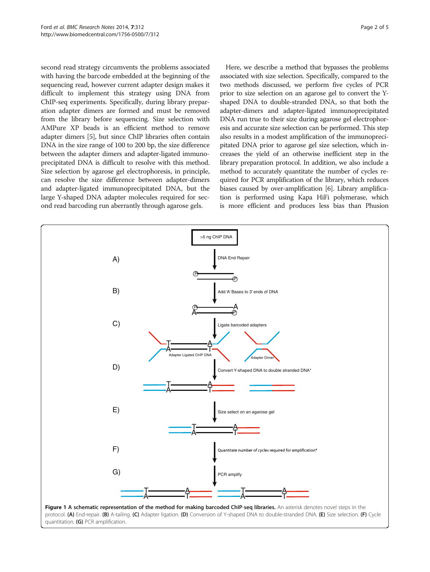<span id="page-1-0"></span>second read strategy circumvents the problems associated with having the barcode embedded at the beginning of the sequencing read, however current adapter design makes it difficult to implement this strategy using DNA from ChIP-seq experiments. Specifically, during library preparation adapter dimers are formed and must be removed from the library before sequencing. Size selection with AMPure XP beads is an efficient method to remove adapter dimers [[5\]](#page-3-0), but since ChIP libraries often contain DNA in the size range of 100 to 200 bp, the size difference between the adapter dimers and adapter-ligated immunoprecipitated DNA is difficult to resolve with this method. Size selection by agarose gel electrophoresis, in principle, can resolve the size difference between adapter-dimers and adapter-ligated immunoprecipitated DNA, but the

large Y-shaped DNA adapter molecules required for second read barcoding run aberrantly through agarose gels.

Here, we describe a method that bypasses the problems associated with size selection. Specifically, compared to the two methods discussed, we perform five cycles of PCR prior to size selection on an agarose gel to convert the Yshaped DNA to double-stranded DNA, so that both the adapter-dimers and adapter-ligated immunoprecipitated DNA run true to their size during agarose gel electrophoresis and accurate size selection can be performed. This step also results in a modest amplification of the immunoprecipitated DNA prior to agarose gel size selection, which increases the yield of an otherwise inefficient step in the library preparation protocol. In addition, we also include a method to accurately quantitate the number of cycles required for PCR amplification of the library, which reduces biases caused by over-amplification [[6](#page-3-0)]. Library amplification is performed using Kapa HiFi polymerase, which is more efficient and produces less bias than Phusion



>5 ng ChIP DNA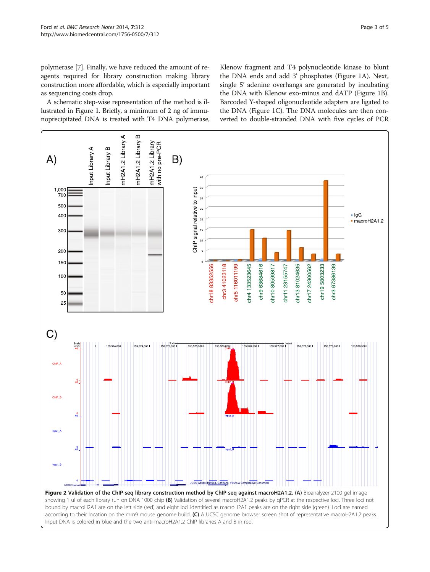<span id="page-2-0"></span>polymerase [\[7](#page-4-0)]. Finally, we have reduced the amount of reagents required for library construction making library construction more affordable, which is especially important as sequencing costs drop.

A schematic step-wise representation of the method is illustrated in Figure [1.](#page-1-0) Briefly, a minimum of 2 ng of immunoprecipitated DNA is treated with T4 DNA polymerase, Klenow fragment and T4 polynucleotide kinase to blunt the DNA ends and add 3' phosphates (Figure [1](#page-1-0)A). Next, single 5' adenine overhangs are generated by incubating the DNA with Klenow exo-minus and dATP (Figure [1B](#page-1-0)). Barcoded Y-shaped oligonucleotide adapters are ligated to the DNA (Figure [1C](#page-1-0)). The DNA molecules are then converted to double-stranded DNA with five cycles of PCR

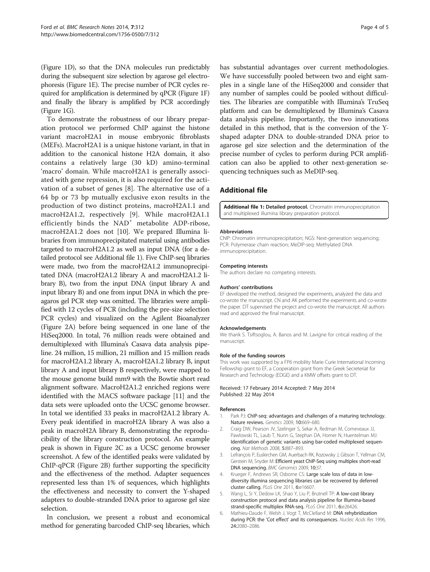<span id="page-3-0"></span>(Figure [1D](#page-1-0)), so that the DNA molecules run predictably during the subsequent size selection by agarose gel electrophoresis (Figure [1](#page-1-0)E). The precise number of PCR cycles required for amplification is determined by qPCR (Figure [1](#page-1-0)F) and finally the library is amplified by PCR accordingly (Figure [1G](#page-1-0)).

To demonstrate the robustness of our library preparation protocol we performed ChIP against the histone variant macroH2A1 in mouse embryonic fibroblasts (MEFs). MacroH2A1 is a unique histone variant, in that in addition to the canonical histone H2A domain, it also contains a relatively large (30 kD) amino-terminal 'macro' domain. While macroH2A1 is generally associated with gene repression, it is also required for the activation of a subset of genes [\[8](#page-4-0)]. The alternative use of a 64 bp or 73 bp mutually exclusive exon results in the production of two distinct proteins, macroH2A1.1 and macroH2A1.2, respectively [[9\]](#page-4-0). While macroH2A1.1 efficiently binds the NAD<sup>+</sup> metabolite ADP-ribose, macroH2A1.2 does not [\[10\]](#page-4-0). We prepared Illumina libraries from immunoprecipitated material using antibodies targeted to macroH2A1.2 as well as input DNA (for a detailed protocol see Additional file 1). Five ChIP-seq libraries were made, two from the macroH2A1.2 immunoprecipitated DNA (macroH2A1.2 library A and macroH2A1.2 library B), two from the input DNA (input library A and input library B) and one from input DNA in which the preagaros gel PCR step was omitted. The libraries were amplified with 12 cycles of PCR (including the pre-size selection PCR cycles) and visualized on the Agilent Bioanalyzer (Figure [2A](#page-2-0)) before being sequenced in one lane of the HiSeq2000. In total, 76 million reads were obtained and demultiplexed with Illumina's Casava data analysis pipeline. 24 million, 15 million, 21 million and 15 million reads for macroH2A1.2 library A, macroH2A1.2 library B, input library A and input library B respectively, were mapped to the mouse genome build mm9 with the Bowtie short read alignment software. MacroH2A1.2 enriched regions were identified with the MACS software package [[11](#page-4-0)] and the data sets were uploaded onto the UCSC genome browser. In total we identified 33 peaks in macroH2A1.2 library A. Every peak identified in macroH2A library A was also a peak in macroH2A library B, demonstrating the reproducibility of the library construction protocol. An example peak is shown in Figure [2](#page-2-0)C as a UCSC genome browser screenshot. A few of the identified peaks were validated by ChIP-qPCR (Figure [2](#page-2-0)B) further supporting the specificity and the effectiveness of the method. Adapter sequences represented less than 1% of sequences, which highlights the effectiveness and necessity to convert the Y-shaped adapters to double-stranded DNA prior to agarose gel size selection.

In conclusion, we present a robust and economical method for generating barcoded ChIP-seq libraries, which has substantial advantages over current methodologies. We have successfully pooled between two and eight samples in a single lane of the HiSeq2000 and consider that any number of samples could be pooled without difficulties. The libraries are compatible with Illumina's TruSeq platform and can be demultiplexed by Illumina's Casava data analysis pipeline. Importantly, the two innovations detailed in this method, that is the conversion of the Yshaped adapter DNA to double-stranded DNA prior to agarose gel size selection and the determination of the precise number of cycles to perform during PCR amplification can also be applied to other next-generation sequencing techniques such as MeDIP-seq.

## Additional file

[Additional file 1:](http://www.biomedcentral.com/content/supplementary/1756-0500-7-312-S1.pdf) Detailed protocol. Chromatin immunoprecipitation and multiplexed illumina library preparation protocol.

#### Abbreviations

ChIP: Chromatin immunoprecipitation; NGS: Next-generation sequencing; PCR: Polymerase chain reaction; MeDIP-seq: Methylated DNA immunoprecipitation.

#### Competing interests

The authors declare no competing interests.

#### Authors' contributions

EF developed the method, designed the experiments, analyzed the data and co-wrote the manuscript. CN and AK performed the experiments and co-wrote the paper. DT supervised the project and co-wrote the manuscript. All authors read and approved the final manuscript.

#### Acknowledgements

We thank S. Tsiftsoglou, A. Banos and M. Lavigne for critical reading of the manuscript.

#### Role of the funding sources

This work was supported by a FP6 mobility Marie Curie International Incoming Fellowship grant to EF, a Cooperation grant from the Greek Secreteriat for Research and Technology (EDGE) and a KMW offsets grant to DT.

#### Received: 17 February 2014 Accepted: 7 May 2014 Published: 22 May 2014

#### References

- 1. Park PJ: ChIP-seq: advantages and challenges of a maturing technology. Nature reviews. Genetics 2009, 10:669–680.
- 2. Craig DW, Pearson JV, Szelinger S, Sekar A, Redman M, Corneveaux JJ, Pawlowski TL, Laub T, Nunn G, Stephan DA, Homer N, Huentelman MJ: Identification of genetic variants using bar-coded multiplexed sequencing. Nat Methods 2008, 5:887–893.
- 3. Lefrançois P, Euskirchen GM, Auerbach RK, Rozowsky J, Gibson T, Yellman CM, Gerstein M, Snyder M: Efficient yeast ChIP-Seq using multiplex short-read DNA sequencing. BMC Genomics 2009, 10:37.
- Krueger F, Andrews SR, Osborne CS: Large scale loss of data in lowdiversity illumina sequencing libraries can be recovered by deferred cluster calling. PLoS One 2011, 6:e16607.
- 5. Wang L, Si Y, Dedow LK, Shao Y, Liu P, Brutnell TP: A low-cost library construction protocol and data analysis pipeline for Illumina-based strand-specific multiplex RNA-seq. PLoS One 2011, 6:e26426.
- 6. Mathieu-Daude F, Welsh J, Vogt T, McClelland M: DNA rehybridization during PCR: the 'Cot effect' and its consequences. Nucleic Acids Res 1996, 24:2080–2086.